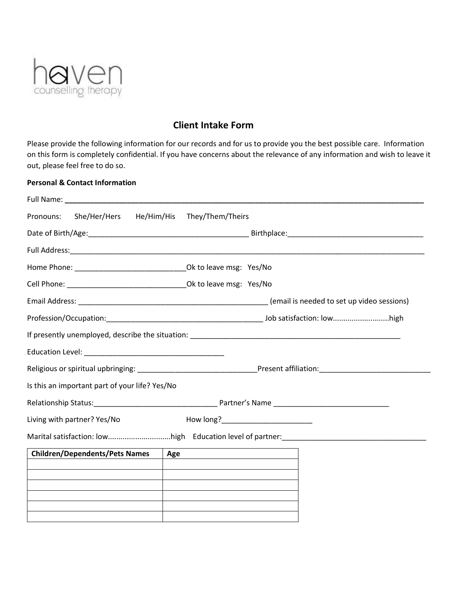

## **Client Intake Form**

Please provide the following information for our records and for us to provide you the best possible care. Information on this form is completely confidential. If you have concerns about the relevance of any information and wish to leave it out, please feel free to do so.

## **Personal & Contact Information**

| Pronouns: She/Her/Hers                         | He/Him/His They/Them/Theirs          |  |  |
|------------------------------------------------|--------------------------------------|--|--|
|                                                |                                      |  |  |
|                                                |                                      |  |  |
|                                                |                                      |  |  |
|                                                |                                      |  |  |
|                                                |                                      |  |  |
|                                                |                                      |  |  |
|                                                |                                      |  |  |
|                                                |                                      |  |  |
|                                                |                                      |  |  |
| Is this an important part of your life? Yes/No |                                      |  |  |
|                                                |                                      |  |  |
| Living with partner? Yes/No                    | How long?___________________________ |  |  |
|                                                |                                      |  |  |
| <b>Children/Dependents/Pets Names</b>          | Age                                  |  |  |
|                                                |                                      |  |  |
|                                                |                                      |  |  |
|                                                |                                      |  |  |
|                                                |                                      |  |  |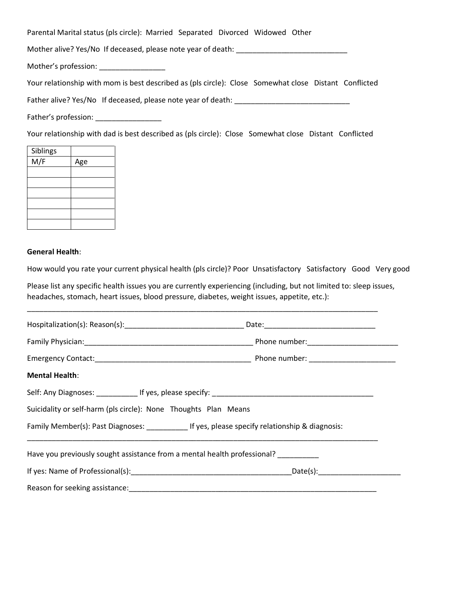Parental Marital status (pls circle): Married Separated Divorced Widowed Other

Mother alive? Yes/No If deceased, please note year of death: \_\_\_\_\_\_\_\_\_\_\_\_\_\_\_\_\_\_\_\_\_\_\_\_\_\_\_

Mother's profession: \_\_\_\_\_\_\_\_\_\_\_\_\_\_\_\_

Your relationship with mom is best described as (pls circle): Close Somewhat close Distant Conflicted

Father alive? Yes/No If deceased, please note year of death: \_\_\_\_\_\_\_\_\_\_\_\_\_\_\_\_\_\_\_

Father's profession: \_\_\_\_\_\_\_\_\_\_\_\_\_\_\_\_

Your relationship with dad is best described as (pls circle): Close Somewhat close Distant Conflicted

| Siblings |     |
|----------|-----|
| M/F      | Age |
|          |     |
|          |     |
|          |     |
|          |     |
|          |     |
|          |     |

## **General Health**:

How would you rate your current physical health (pls circle)? Poor Unsatisfactory Satisfactory Good Very good

Please list any specific health issues you are currently experiencing (including, but not limited to: sleep issues, headaches, stomach, heart issues, blood pressure, diabetes, weight issues, appetite, etc.):

\_\_\_\_\_\_\_\_\_\_\_\_\_\_\_\_\_\_\_\_\_\_\_\_\_\_\_\_\_\_\_\_\_\_\_\_\_\_\_\_\_\_\_\_\_\_\_\_\_\_\_\_\_\_\_\_\_\_\_\_\_\_\_\_\_\_\_\_\_\_\_\_\_\_\_\_\_\_\_\_\_\_\_\_\_

| <b>Mental Health:</b>                                                                           |  |  |  |  |  |
|-------------------------------------------------------------------------------------------------|--|--|--|--|--|
|                                                                                                 |  |  |  |  |  |
| Suicidality or self-harm (pls circle): None Thoughts Plan Means                                 |  |  |  |  |  |
| Family Member(s): Past Diagnoses: ____________ If yes, please specify relationship & diagnosis: |  |  |  |  |  |
| Have you previously sought assistance from a mental health professional?                        |  |  |  |  |  |
|                                                                                                 |  |  |  |  |  |
|                                                                                                 |  |  |  |  |  |